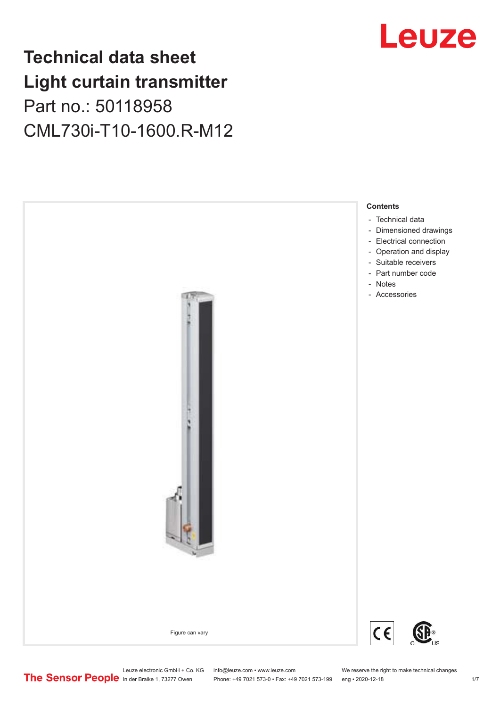# **Technical data sheet Light curtain transmitter** Part no.: 50118958 CML730i-T10-1600.R-M12





Leuze electronic GmbH + Co. KG info@leuze.com • www.leuze.com We reserve the right to make technical changes<br>
The Sensor People in der Braike 1, 73277 Owen Phone: +49 7021 573-0 • Fax: +49 7021 573-199 eng • 2020-12-18

Phone: +49 7021 573-0 • Fax: +49 7021 573-199 eng • 2020-12-18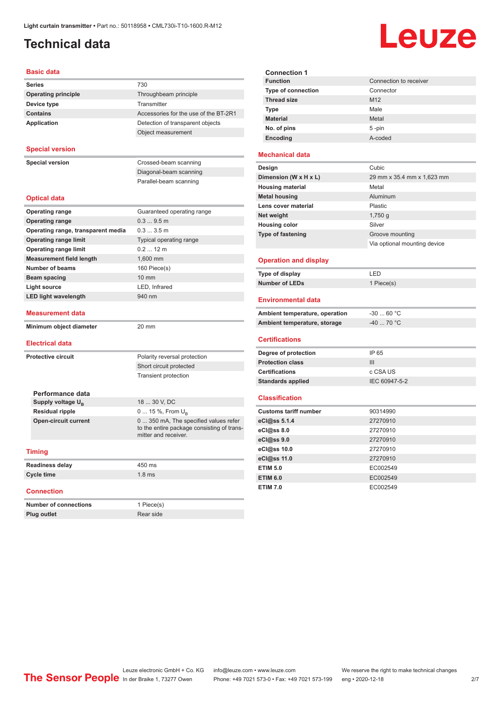# <span id="page-1-0"></span>**Technical data**

# Leuze

#### **Basic data**

| <b>Series</b>              | 730                                   |
|----------------------------|---------------------------------------|
| <b>Operating principle</b> | Throughbeam principle                 |
| Device type                | Transmitter                           |
| <b>Contains</b>            | Accessories for the use of the BT-2R1 |
| <b>Application</b>         | Detection of transparent objects      |
|                            | Object measurement                    |

### **Special version**

**Special version** Crossed-beam scanning

Diagonal-beam scanning Parallel-beam scanning

### **Optical data**

| <b>Operating range</b>             | Guaranteed operating range                                                                                  |
|------------------------------------|-------------------------------------------------------------------------------------------------------------|
| <b>Operating range</b>             | 0.39.5m                                                                                                     |
| Operating range, transparent media | 0.33.5m                                                                                                     |
| <b>Operating range limit</b>       | Typical operating range                                                                                     |
| <b>Operating range limit</b>       | $0.212$ m                                                                                                   |
| <b>Measurement field length</b>    | 1,600 mm                                                                                                    |
| Number of beams                    | 160 Piece(s)                                                                                                |
| Beam spacing                       | $10 \text{ mm}$                                                                                             |
| <b>Light source</b>                | LED. Infrared                                                                                               |
| <b>LED light wavelength</b>        | 940 nm                                                                                                      |
|                                    |                                                                                                             |
| <b>Measurement data</b>            |                                                                                                             |
| Minimum object diameter            | $20 \text{ mm}$                                                                                             |
|                                    |                                                                                                             |
|                                    |                                                                                                             |
| <b>Electrical data</b>             |                                                                                                             |
| <b>Protective circuit</b>          | Polarity reversal protection                                                                                |
|                                    | Short circuit protected                                                                                     |
|                                    | <b>Transient protection</b>                                                                                 |
|                                    |                                                                                                             |
| Performance data                   |                                                                                                             |
| Supply voltage U <sub>B</sub>      | 18  30 V. DC                                                                                                |
| <b>Residual ripple</b>             | 0  15 %, From U <sub>p</sub>                                                                                |
| <b>Open-circuit current</b>        | 0  350 mA, The specified values refer<br>to the entire package consisting of trans-<br>mitter and receiver. |

| <b>Readiness delay</b> | 450 ms   |
|------------------------|----------|
| <b>Cycle time</b>      | $1.8$ ms |

### **Connection**

| <b>Number of connections</b> | 1 Piece(s) |
|------------------------------|------------|
| <b>Plug outlet</b>           | Rear side  |

| <b>Connection 1</b>       |                        |
|---------------------------|------------------------|
| <b>Function</b>           | Connection to receiver |
| <b>Type of connection</b> | Connector              |
| <b>Thread size</b>        | M <sub>12</sub>        |
| Type                      | Male                   |
| <b>Material</b>           | Metal                  |
| No. of pins               | $5 - pin$              |
| Encoding                  | A-coded                |
|                           |                        |

### **Mechanical data**

| Design                   | Cubic                        |
|--------------------------|------------------------------|
| Dimension (W x H x L)    | 29 mm x 35.4 mm x 1,623 mm   |
| <b>Housing material</b>  | Metal                        |
| <b>Metal housing</b>     | Aluminum                     |
| Lens cover material      | Plastic                      |
| Net weight               | $1,750$ q                    |
| <b>Housing color</b>     | Silver                       |
| <b>Type of fastening</b> | Groove mounting              |
|                          | Via optional mounting device |
|                          |                              |

### **Operation and display**

| Type of display | - FD       |
|-----------------|------------|
| Number of LEDs  | 1 Piece(s) |

### **Environmental data**

| Ambient temperature, operation | -30  60 °C |
|--------------------------------|------------|
| Ambient temperature, storage   | -40  70 °C |

### **Certifications**

| Degree of protection     | IP 65         |
|--------------------------|---------------|
| <b>Protection class</b>  | Ш             |
| <b>Certifications</b>    | c CSA US      |
| <b>Standards applied</b> | IEC 60947-5-2 |

#### **Classification**

| <b>Customs tariff number</b> | 90314990 |
|------------------------------|----------|
| eCl@ss 5.1.4                 | 27270910 |
| eCl@ss 8.0                   | 27270910 |
| eCl@ss 9.0                   | 27270910 |
| eCl@ss 10.0                  | 27270910 |
| eCl@ss 11.0                  | 27270910 |
| <b>ETIM 5.0</b>              | EC002549 |
| <b>ETIM 6.0</b>              | EC002549 |
| <b>ETIM 7.0</b>              | EC002549 |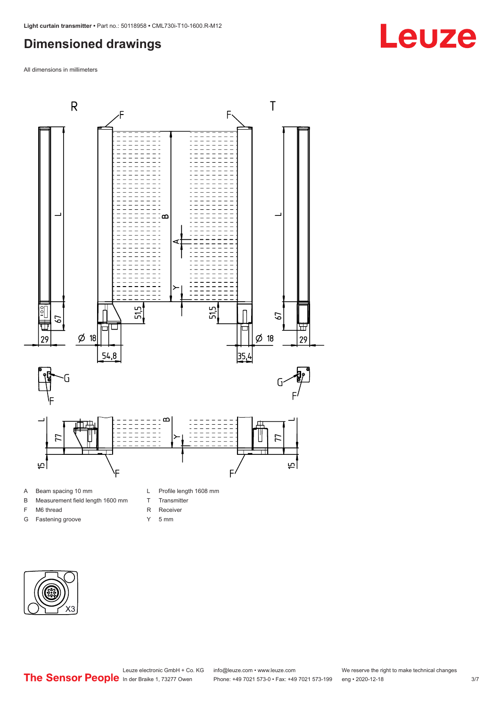# <span id="page-2-0"></span>**Dimensioned drawings**

All dimensions in millimeters



- A Beam spacing 10 mm
- B Measurement field length 1600 mm
- F M6 thread
- G Fastening groove
- L Profile length 1608 mm
- T Transmitter
- R Receiver
- Y 5 mm



# **Leuze**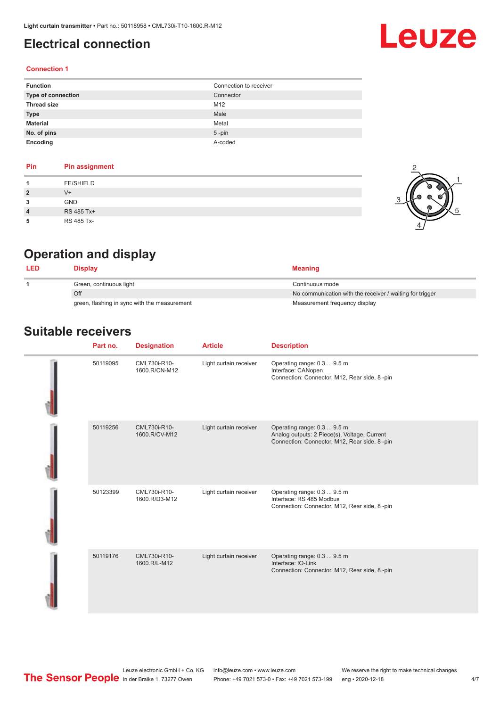# <span id="page-3-0"></span>**Electrical connection**

# Leuze

### **Connection 1**

| <b>Function</b>    | Connection to receiver |
|--------------------|------------------------|
| Type of connection | Connector              |
| <b>Thread size</b> | M12                    |
| <b>Type</b>        | Male                   |
| <b>Material</b>    | Metal                  |
| No. of pins        | $5$ -pin               |
| Encoding           | A-coded                |

### **Pin Pin assignment 1** FE/SHIELD **2** V+ **3** GND **4** RS 485 Tx+ **5** RS 485 Tx-



# **Operation and display**

|     | Display                                      | <b>Meaning</b>                                           |
|-----|----------------------------------------------|----------------------------------------------------------|
|     | Green, continuous light                      | Continuous mode                                          |
| Off |                                              | No communication with the receiver / waiting for trigger |
|     | green, flashing in sync with the measurement | Measurement frequency display                            |

## **Suitable receivers**

| Part no. | <b>Designation</b>            | <b>Article</b>         | <b>Description</b>                                                                                                          |
|----------|-------------------------------|------------------------|-----------------------------------------------------------------------------------------------------------------------------|
| 50119095 | CML730i-R10-<br>1600.R/CN-M12 | Light curtain receiver | Operating range: 0.3  9.5 m<br>Interface: CANopen<br>Connection: Connector, M12, Rear side, 8-pin                           |
| 50119256 | CML730i-R10-<br>1600.R/CV-M12 | Light curtain receiver | Operating range: 0.3  9.5 m<br>Analog outputs: 2 Piece(s), Voltage, Current<br>Connection: Connector, M12, Rear side, 8-pin |
| 50123399 | CML730i-R10-<br>1600.R/D3-M12 | Light curtain receiver | Operating range: 0.3  9.5 m<br>Interface: RS 485 Modbus<br>Connection: Connector, M12, Rear side, 8-pin                     |
| 50119176 | CML730i-R10-<br>1600.R/L-M12  | Light curtain receiver | Operating range: 0.3  9.5 m<br>Interface: IO-Link<br>Connection: Connector, M12, Rear side, 8-pin                           |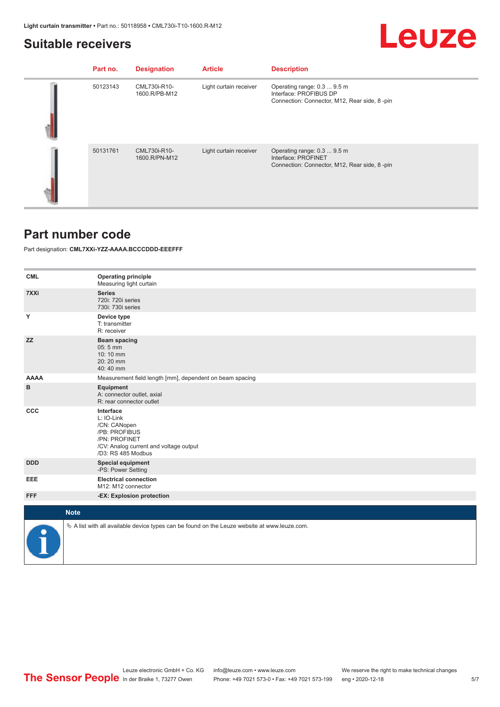## <span id="page-4-0"></span>**Suitable receivers**

# Leuze

| Part no. | <b>Designation</b>            | <b>Article</b>         | <b>Description</b>                                                                                    |
|----------|-------------------------------|------------------------|-------------------------------------------------------------------------------------------------------|
| 50123143 | CML730i-R10-<br>1600.R/PB-M12 | Light curtain receiver | Operating range: 0.3  9.5 m<br>Interface: PROFIBUS DP<br>Connection: Connector, M12, Rear side, 8-pin |
| 50131761 | CML730i-R10-<br>1600.R/PN-M12 | Light curtain receiver | Operating range: 0.3  9.5 m<br>Interface: PROFINET<br>Connection: Connector, M12, Rear side, 8-pin    |

### **Part number code**

Part designation: **CML7XXi-YZZ-AAAA.BCCCDDD-EEEFFF**

| <b>CML</b>  | <b>Operating principle</b><br>Measuring light curtain                                                                                     |
|-------------|-------------------------------------------------------------------------------------------------------------------------------------------|
| 7XXi        | <b>Series</b><br>720i: 720i series<br>730i: 730i series                                                                                   |
| Υ           | Device type<br>T: transmitter<br>R: receiver                                                                                              |
| <b>ZZ</b>   | Beam spacing<br>05:5 mm<br>10:10 mm<br>20:20 mm<br>40:40 mm                                                                               |
| <b>AAAA</b> | Measurement field length [mm], dependent on beam spacing                                                                                  |
| в           | Equipment<br>A: connector outlet, axial<br>R: rear connector outlet                                                                       |
| <b>CCC</b>  | Interface<br>L: IO-Link<br>/CN: CANopen<br>/PB: PROFIBUS<br>/PN: PROFINET<br>/CV: Analog current and voltage output<br>/D3: RS 485 Modbus |
| <b>DDD</b>  | <b>Special equipment</b><br>-PS: Power Setting                                                                                            |
| EEE         | <b>Electrical connection</b><br>M12: M12 connector                                                                                        |
| <b>FFF</b>  | -EX: Explosion protection                                                                                                                 |
|             | <b>Note</b>                                                                                                                               |
|             |                                                                                                                                           |
|             | $\&$ A list with all available device types can be found on the Leuze website at www.leuze.com.                                           |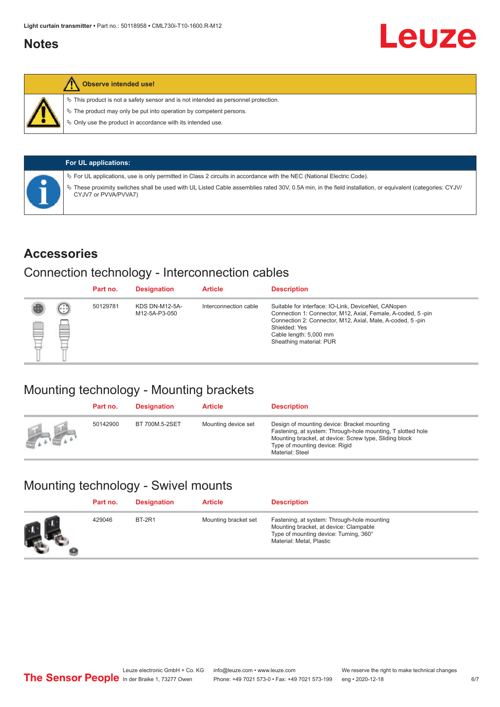## <span id="page-5-0"></span>**Notes**



### **Observe intended use!**

 $\%$  This product is not a safety sensor and is not intended as personnel protection.

 $\%$  The product may only be put into operation by competent persons.

 $\%$  Only use the product in accordance with its intended use.

| <b>For UL applications:</b>                                                                                                                                                       |
|-----------------------------------------------------------------------------------------------------------------------------------------------------------------------------------|
| $\%$ For UL applications, use is only permitted in Class 2 circuits in accordance with the NEC (National Electric Code).                                                          |
| V These proximity switches shall be used with UL Listed Cable assemblies rated 30V, 0.5A min, in the field installation, or equivalent (categories: CYJV/<br>CYJV7 or PVVA/PVVA7) |

### **Accessories**

### Connection technology - Interconnection cables

|   |        | Part no. | <b>Designation</b>                     | <b>Article</b>        | <b>Description</b>                                                                                                                                                                                                                                    |
|---|--------|----------|----------------------------------------|-----------------------|-------------------------------------------------------------------------------------------------------------------------------------------------------------------------------------------------------------------------------------------------------|
| 國 | ⊕<br>œ | 50129781 | <b>KDS DN-M12-5A-</b><br>M12-5A-P3-050 | Interconnection cable | Suitable for interface: IO-Link, DeviceNet, CANopen<br>Connection 1: Connector, M12, Axial, Female, A-coded, 5-pin<br>Connection 2: Connector, M12, Axial, Male, A-coded, 5-pin<br>Shielded: Yes<br>Cable length: 5,000 mm<br>Sheathing material: PUR |

# Mounting technology - Mounting brackets

|                    | Part no. | <b>Designation</b> | <b>Article</b>      | <b>Description</b>                                                                                                                                                                                                        |
|--------------------|----------|--------------------|---------------------|---------------------------------------------------------------------------------------------------------------------------------------------------------------------------------------------------------------------------|
| <b>All Control</b> | 50142900 | BT 700M.5-2SET     | Mounting device set | Design of mounting device: Bracket mounting<br>Fastening, at system: Through-hole mounting, T slotted hole<br>Mounting bracket, at device: Screw type, Sliding block<br>Type of mounting device: Rigid<br>Material: Steel |

# Mounting technology - Swivel mounts

| Part no. | <b>Designation</b> | <b>Article</b>       | <b>Description</b>                                                                                                                                          |
|----------|--------------------|----------------------|-------------------------------------------------------------------------------------------------------------------------------------------------------------|
| 429046   | <b>BT-2R1</b>      | Mounting bracket set | Fastening, at system: Through-hole mounting<br>Mounting bracket, at device: Clampable<br>Type of mounting device: Turning, 360°<br>Material: Metal, Plastic |

Leuze